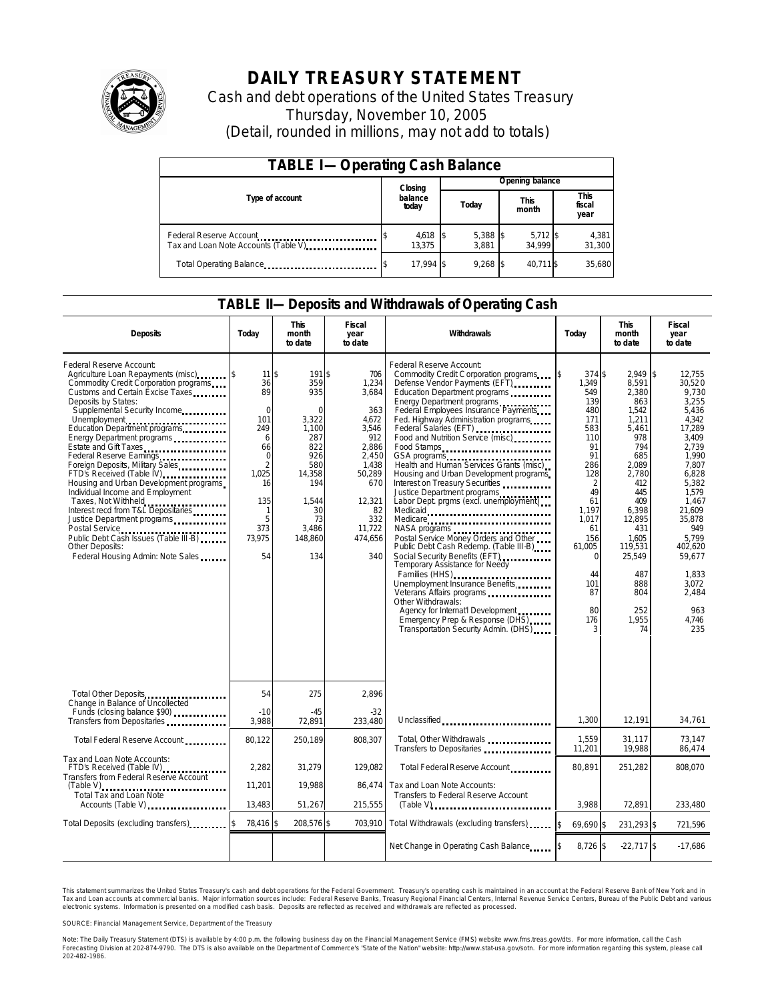

# **DAILY TREASURY STATEMENT**

Cash and debt operations of the United States Treasury Thursday, November 10, 2005 (Detail, rounded in millions, may not add to totals)

| <b>TABLE I-Operating Cash Balance</b>                            |                      |  |                     |  |                      |  |                               |  |
|------------------------------------------------------------------|----------------------|--|---------------------|--|----------------------|--|-------------------------------|--|
|                                                                  | Closing              |  | Opening balance     |  |                      |  |                               |  |
| Type of account                                                  | balance<br>today     |  | Today               |  | <b>This</b><br>month |  | <b>This</b><br>fiscal<br>year |  |
| Federal Reserve Account<br>Tax and Loan Note Accounts (Table V). | $4,618$ \$<br>13.375 |  | $5,388$ \$<br>3.881 |  | $5,712$ \$<br>34.999 |  | 4,381<br>31,300               |  |
| Total Operating Balance                                          | 17.994 \$            |  | 9.268               |  | 40.711 \$            |  | 35,680                        |  |

#### **TABLE II—Deposits and Withdrawals of Operating Cash**

| <b>Deposits</b>                                                                                                                                                                                                                                                                                                                                                                                                                                                                                                                                                                                                                                                                     | Today                                                                                                                                                   | <b>This</b><br>month<br>to date                                                                                                                 | <b>Fiscal</b><br>year<br>to date                                                                                                                     | Withdrawals                                                                                                                                                                                                                                                                                                                                                                                                                                                                                                                                                                                                                                                                                                                                                                                                                                                                                                                                      | Today                                                                                                                                                                                                             | <b>This</b><br>month<br>to date                                                                                                                                                                                          | <b>Fiscal</b><br>year<br>to date                                                                                                                                                                                                                        |
|-------------------------------------------------------------------------------------------------------------------------------------------------------------------------------------------------------------------------------------------------------------------------------------------------------------------------------------------------------------------------------------------------------------------------------------------------------------------------------------------------------------------------------------------------------------------------------------------------------------------------------------------------------------------------------------|---------------------------------------------------------------------------------------------------------------------------------------------------------|-------------------------------------------------------------------------------------------------------------------------------------------------|------------------------------------------------------------------------------------------------------------------------------------------------------|--------------------------------------------------------------------------------------------------------------------------------------------------------------------------------------------------------------------------------------------------------------------------------------------------------------------------------------------------------------------------------------------------------------------------------------------------------------------------------------------------------------------------------------------------------------------------------------------------------------------------------------------------------------------------------------------------------------------------------------------------------------------------------------------------------------------------------------------------------------------------------------------------------------------------------------------------|-------------------------------------------------------------------------------------------------------------------------------------------------------------------------------------------------------------------|--------------------------------------------------------------------------------------------------------------------------------------------------------------------------------------------------------------------------|---------------------------------------------------------------------------------------------------------------------------------------------------------------------------------------------------------------------------------------------------------|
| Federal Reserve Account:<br>Agriculture Loan Repayments (misc)<br>Commodity Credit Corporation programs<br>Customs and Certain Excise Taxes<br>Deposits by States:<br>Supplemental Security Income<br>Unemployment<br>Education Department programs<br>Energy Department programs<br>Estate and Gift Taxes<br>Federal Reserve Earnings<br>Foreign Deposits, Military Sales<br>FTD's Received (Table IV)<br>Housing and Urban Development programs<br>Individual Income and Employment<br>Taxes, Not Withheld<br>Interest recd from T&L Depositaries<br>Justice Department programs<br>Public Debt Cash Issues (Table III-B)<br>Other Deposits:<br>Federal Housing Admin: Note Sales | $11 \text{ s}$<br>36<br>89<br>$\mathbf 0$<br>101<br>249<br>6<br>66<br>$\Omega$<br>$\overline{2}$<br>1.025<br>16<br>135<br>1<br>5<br>373<br>73,975<br>54 | 191 \$<br>359<br>935<br>$\Omega$<br>3,322<br>1.100<br>287<br>822<br>926<br>580<br>14,358<br>194<br>1,544<br>30<br>73<br>3,486<br>148,860<br>134 | 706<br>1,234<br>3,684<br>363<br>4,672<br>3.546<br>912<br>2,886<br>2.450<br>1.438<br>50,289<br>670<br>12,321<br>82<br>332<br>11,722<br>474,656<br>340 | Federal Reserve Account:<br>Commodity Credit Corporation programs<br>Defense Vendor Payments (EFT)<br>Education Department programs<br>Energy Department programs<br>Federal Employees Insurance Payments<br>Fed. Highway Administration programs<br>Federal Salaries (EFT)<br>Food and Nutrition Service (misc)<br>Food Stamps<br>GSA programs<br>Health and Human Services Grants (misc).<br>Housing and Urban Development programs<br>Interest on Treasury Securities<br>Justice Department programs<br>Labor Dept. prgms (excl. unemployment)<br>Medicaid<br>Medicare<br>NASA programs<br>Postal Service Money Orders and Other<br>Public Debt Cash Redemp. (Table III-B)<br>Social Security Benefits (EFT)<br><br>Temporary Assistance for Needy<br>Families (HHS)<br>Unemployment Insurance Benefits<br>Other Withdrawals:<br>Agency for Internat'l Development<br>Emergency Prep & Response (DHS)<br>Transportation Security Admin. (DHS) | \$<br>374 \$<br>1,349<br>549<br>139<br>480<br>171<br>583<br>110<br>91<br>91<br>286<br>128<br>$\overline{2}$<br>49<br>61<br>1,197<br>1.017<br>61<br>156<br>61,005<br>$\Omega$<br>44<br>101<br>87<br>80<br>176<br>3 | 2.949<br>8,591<br>2,380<br>863<br>1,542<br>1,211<br>5,461<br>978<br>794<br>685<br>2.089<br>2,780<br>412<br>445<br>409<br>6,398<br>12,895<br>431<br>1.605<br>119,531<br>25,549<br>487<br>888<br>804<br>252<br>1,955<br>74 | \$<br>12.755<br>30,520<br>9.730<br>3,255<br>5.436<br>4.342<br>17,289<br>3.409<br>2.739<br>1.990<br>7.807<br>6,828<br>5,382<br>1,579<br>1,467<br>21.609<br>35.878<br>949<br>5.799<br>402,620<br>59,677<br>1,833<br>3.072<br>2,484<br>963<br>4.746<br>235 |
| Total Other Deposits                                                                                                                                                                                                                                                                                                                                                                                                                                                                                                                                                                                                                                                                | 54                                                                                                                                                      | 275                                                                                                                                             | 2,896                                                                                                                                                |                                                                                                                                                                                                                                                                                                                                                                                                                                                                                                                                                                                                                                                                                                                                                                                                                                                                                                                                                  |                                                                                                                                                                                                                   |                                                                                                                                                                                                                          |                                                                                                                                                                                                                                                         |
| Change in Balance of Uncollected<br>Funds (closing balance \$90)<br>Transfers from Depositaries                                                                                                                                                                                                                                                                                                                                                                                                                                                                                                                                                                                     | $-10$<br>3,988                                                                                                                                          | $-45$<br>72,891                                                                                                                                 | $-32$<br>233,480                                                                                                                                     | Unclassified                                                                                                                                                                                                                                                                                                                                                                                                                                                                                                                                                                                                                                                                                                                                                                                                                                                                                                                                     | 1,300                                                                                                                                                                                                             | 12,191                                                                                                                                                                                                                   | 34,761                                                                                                                                                                                                                                                  |
| Total Federal Reserve Account                                                                                                                                                                                                                                                                                                                                                                                                                                                                                                                                                                                                                                                       | 80,122                                                                                                                                                  | 250,189                                                                                                                                         | 808,307                                                                                                                                              | Total, Other Withdrawals<br>Transfers to Depositaries                                                                                                                                                                                                                                                                                                                                                                                                                                                                                                                                                                                                                                                                                                                                                                                                                                                                                            | 1,559<br>11,201                                                                                                                                                                                                   | 31,117<br>19,988                                                                                                                                                                                                         | 73,147<br>86,474                                                                                                                                                                                                                                        |
| Tax and Loan Note Accounts:<br>FTD's Received (Table IV)<br>Transfers from Federal Reserve Account                                                                                                                                                                                                                                                                                                                                                                                                                                                                                                                                                                                  | 2,282                                                                                                                                                   | 31,279                                                                                                                                          | 129.082                                                                                                                                              | Total Federal Reserve Account                                                                                                                                                                                                                                                                                                                                                                                                                                                                                                                                                                                                                                                                                                                                                                                                                                                                                                                    | 80.891                                                                                                                                                                                                            | 251,282                                                                                                                                                                                                                  | 808,070                                                                                                                                                                                                                                                 |
| $(Table V)$<br>Total Tax and Loan Note<br>Accounts (Table V)                                                                                                                                                                                                                                                                                                                                                                                                                                                                                                                                                                                                                        | 11,201<br>13,483                                                                                                                                        | 19,988<br>51,267                                                                                                                                | 86.474<br>215,555                                                                                                                                    | Tax and Loan Note Accounts:<br>Transfers to Federal Reserve Account                                                                                                                                                                                                                                                                                                                                                                                                                                                                                                                                                                                                                                                                                                                                                                                                                                                                              | 3,988                                                                                                                                                                                                             | 72,891                                                                                                                                                                                                                   | 233,480                                                                                                                                                                                                                                                 |
| Total Deposits (excluding transfers)                                                                                                                                                                                                                                                                                                                                                                                                                                                                                                                                                                                                                                                | 78,416 \$                                                                                                                                               | 208,576 \$                                                                                                                                      | 703,910                                                                                                                                              | Total Withdrawals (excluding transfers)                                                                                                                                                                                                                                                                                                                                                                                                                                                                                                                                                                                                                                                                                                                                                                                                                                                                                                          | 69.690 \$<br><sup>\$</sup>                                                                                                                                                                                        | 231,293 \$                                                                                                                                                                                                               | 721,596                                                                                                                                                                                                                                                 |
|                                                                                                                                                                                                                                                                                                                                                                                                                                                                                                                                                                                                                                                                                     |                                                                                                                                                         |                                                                                                                                                 |                                                                                                                                                      | Net Change in Operating Cash Balance                                                                                                                                                                                                                                                                                                                                                                                                                                                                                                                                                                                                                                                                                                                                                                                                                                                                                                             | $8,726$ \$                                                                                                                                                                                                        | $-22,717$ \$                                                                                                                                                                                                             | $-17,686$                                                                                                                                                                                                                                               |

This statement summarizes the United States Treasury's cash and debt operations for the Federal Government. Treasury's operating cash is maintained in an account at the Federal Reserve Bank of New York and in Tax and Loan accounts at commercial banks. Major information sources include: Federal Reserve Banks, Treasury Regional Financial Centers, Internal Revenue Service Centers, Bureau of the Public Debt and various<br>electronic s

SOURCE: Financial Management Service, Department of the Treasury

Note: The Daily Treasury Statement (DTS) is available by 4:00 p.m. the following business day on the Financial Management Service (FMS) website www.fms.treas.gov/dts.<br>Forecasting Division at 202-874-9790. The DTS is also a 'S) is available by 4:00 p.m. the following business day on the Financial Management Service (FMS) website www.fms.treas.gov/dts. For more information, call the Cash<br>The DTS is also available on the Department of Commerce'